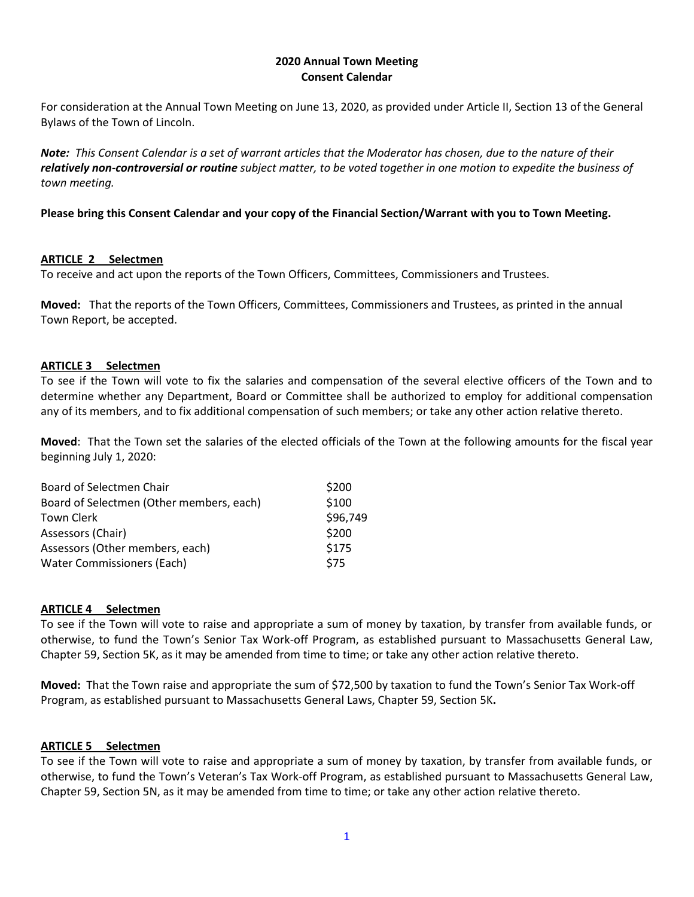## **2020 Annual Town Meeting Consent Calendar**

For consideration at the Annual Town Meeting on June 13, 2020, as provided under Article II, Section 13 of the General Bylaws of the Town of Lincoln.

*Note: This Consent Calendar is a set of warrant articles that the Moderator has chosen, due to the nature of their relatively non-controversial or routine subject matter, to be voted together in one motion to expedite the business of town meeting.*

# **Please bring this Consent Calendar and your copy of the Financial Section/Warrant with you to Town Meeting.**

# **ARTICLE 2 Selectmen**

To receive and act upon the reports of the Town Officers, Committees, Commissioners and Trustees.

**Moved:** That the reports of the Town Officers, Committees, Commissioners and Trustees, as printed in the annual Town Report, be accepted.

# **ARTICLE 3 Selectmen**

To see if the Town will vote to fix the salaries and compensation of the several elective officers of the Town and to determine whether any Department, Board or Committee shall be authorized to employ for additional compensation any of its members, and to fix additional compensation of such members; or take any other action relative thereto.

**Moved**: That the Town set the salaries of the elected officials of the Town at the following amounts for the fiscal year beginning July 1, 2020:

| Board of Selectmen Chair                 | \$200    |
|------------------------------------------|----------|
| Board of Selectmen (Other members, each) | \$100    |
| <b>Town Clerk</b>                        | \$96,749 |
| Assessors (Chair)                        | \$200    |
| Assessors (Other members, each)          | \$175    |
| <b>Water Commissioners (Each)</b>        | \$75     |

# **ARTICLE 4 Selectmen**

To see if the Town will vote to raise and appropriate a sum of money by taxation, by transfer from available funds, or otherwise, to fund the Town's Senior Tax Work-off Program, as established pursuant to Massachusetts General Law, Chapter 59, Section 5K, as it may be amended from time to time; or take any other action relative thereto.

**Moved:** That the Town raise and appropriate the sum of \$72,500 by taxation to fund the Town's Senior Tax Work-off Program, as established pursuant to Massachusetts General Laws, Chapter 59, Section 5K**.**

# **ARTICLE 5 Selectmen**

To see if the Town will vote to raise and appropriate a sum of money by taxation, by transfer from available funds, or otherwise, to fund the Town's Veteran's Tax Work-off Program, as established pursuant to Massachusetts General Law, Chapter 59, Section 5N, as it may be amended from time to time; or take any other action relative thereto.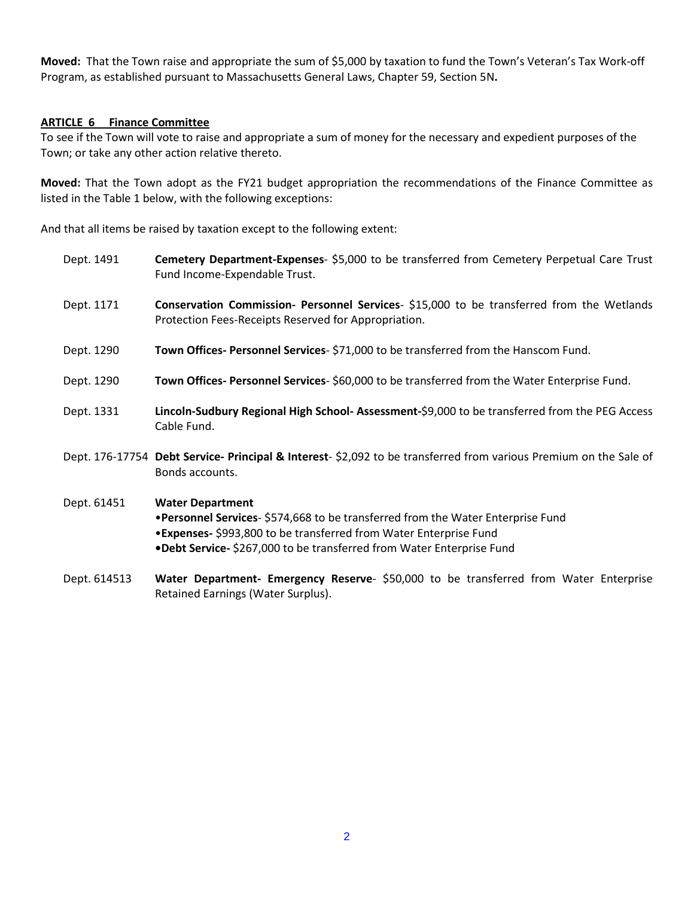**Moved:** That the Town raise and appropriate the sum of \$5,000 by taxation to fund the Town's Veteran's Tax Work-off Program, as established pursuant to Massachusetts General Laws, Chapter 59, Section 5N**.**

## **ARTICLE 6 Finance Committee**

To see if the Town will vote to raise and appropriate a sum of money for the necessary and expedient purposes of the Town; or take any other action relative thereto.

**Moved:** That the Town adopt as the FY21 budget appropriation the recommendations of the Finance Committee as listed in the Table 1 below, with the following exceptions:

And that all items be raised by taxation except to the following extent:

- Dept. 1491 **Cemetery Department-Expenses** \$5,000 to be transferred from Cemetery Perpetual Care Trust Fund Income-Expendable Trust.
- Dept. 1171 **Conservation Commission- Personnel Services** \$15,000 to be transferred from the Wetlands Protection Fees-Receipts Reserved for Appropriation.
- Dept. 1290 **Town Offices- Personnel Services** \$71,000 to be transferred from the Hanscom Fund.
- Dept. 1290 **Town Offices- Personnel Services** \$60,000 to be transferred from the Water Enterprise Fund.
- Dept. 1331 **Lincoln-Sudbury Regional High School- Assessment-**\$9,000 to be transferred from the PEG Access Cable Fund.
- Dept. 176-17754 **Debt Service- Principal & Interest** \$2,092 to be transferred from various Premium on the Sale of Bonds accounts.
- Dept. 61451 **Water Department** •**Personnel Services**- \$574,668 to be transferred from the Water Enterprise Fund •**Expenses-** \$993,800 to be transferred from Water Enterprise Fund **•Debt Service-** \$267,000 to be transferred from Water Enterprise Fund
- Dept. 614513 **Water Department- Emergency Reserve** \$50,000 to be transferred from Water Enterprise Retained Earnings (Water Surplus).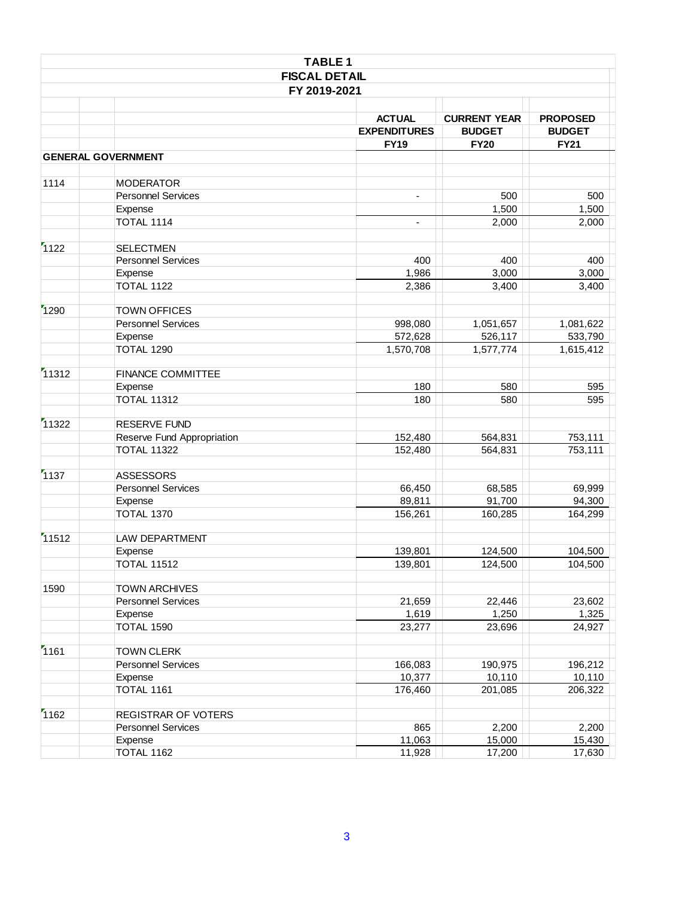| <b>TABLE 1</b> |                            |                                                     |                                                     |                                                 |  |
|----------------|----------------------------|-----------------------------------------------------|-----------------------------------------------------|-------------------------------------------------|--|
|                | <b>FISCAL DETAIL</b>       |                                                     |                                                     |                                                 |  |
|                | FY 2019-2021               |                                                     |                                                     |                                                 |  |
|                |                            | <b>ACTUAL</b><br><b>EXPENDITURES</b><br><b>FY19</b> | <b>CURRENT YEAR</b><br><b>BUDGET</b><br><b>FY20</b> | <b>PROPOSED</b><br><b>BUDGET</b><br><b>FY21</b> |  |
|                | <b>GENERAL GOVERNMENT</b>  |                                                     |                                                     |                                                 |  |
|                |                            |                                                     |                                                     |                                                 |  |
| 1114           | <b>MODERATOR</b>           |                                                     |                                                     |                                                 |  |
|                | <b>Personnel Services</b>  | $\blacksquare$                                      | 500                                                 | 500                                             |  |
|                | Expense                    |                                                     | 1,500                                               | 1,500                                           |  |
|                | TOTAL 1114                 | $\overline{\phantom{a}}$                            | 2,000                                               | 2,000                                           |  |
| 1122           | <b>SELECTMEN</b>           |                                                     |                                                     |                                                 |  |
|                | <b>Personnel Services</b>  | 400                                                 | 400                                                 | 400                                             |  |
|                | Expense                    | 1,986                                               | 3,000                                               | 3,000                                           |  |
|                | <b>TOTAL 1122</b>          | 2,386                                               | 3,400                                               | 3,400                                           |  |
| 1290           | <b>TOWN OFFICES</b>        |                                                     |                                                     |                                                 |  |
|                | <b>Personnel Services</b>  | 998,080                                             | 1,051,657                                           | 1,081,622                                       |  |
|                | Expense                    | 572,628                                             | 526,117                                             | 533,790                                         |  |
|                | <b>TOTAL 1290</b>          | 1,570,708                                           | 1,577,774                                           | 1,615,412                                       |  |
|                |                            |                                                     |                                                     |                                                 |  |
| 11312          | <b>FINANCE COMMITTEE</b>   |                                                     |                                                     |                                                 |  |
|                | Expense                    | 180                                                 | 580                                                 | 595                                             |  |
|                | <b>TOTAL 11312</b>         | 180                                                 | 580                                                 | 595                                             |  |
| 11322          | RESERVE FUND               |                                                     |                                                     |                                                 |  |
|                | Reserve Fund Appropriation | 152,480                                             | 564,831                                             | 753,111                                         |  |
|                | <b>TOTAL 11322</b>         | 152,480                                             | 564,831                                             | 753,111                                         |  |
| 1137           | <b>ASSESSORS</b>           |                                                     |                                                     |                                                 |  |
|                | <b>Personnel Services</b>  | 66,450                                              | 68,585                                              | 69,999                                          |  |
|                | Expense                    | 89,811                                              | 91,700                                              | 94,300                                          |  |
|                | <b>TOTAL 1370</b>          | 156,261                                             | 160,285                                             | 164,299                                         |  |
| 11512          | <b>LAW DEPARTMENT</b>      |                                                     |                                                     |                                                 |  |
|                | Expense                    | 139,801                                             | 124,500                                             | 104.500                                         |  |
|                | <b>TOTAL 11512</b>         | 139,801                                             | 124,500                                             | 104,500                                         |  |
| 1590           | <b>TOWN ARCHIVES</b>       |                                                     |                                                     |                                                 |  |
|                | <b>Personnel Services</b>  | 21,659                                              | 22,446                                              | 23,602                                          |  |
|                | Expense                    | 1,619                                               | 1,250                                               | 1,325                                           |  |
|                | TOTAL 1590                 | 23,277                                              | 23,696                                              | 24,927                                          |  |
| 1161           | <b>TOWN CLERK</b>          |                                                     |                                                     |                                                 |  |
|                | <b>Personnel Services</b>  | 166,083                                             | 190,975                                             | 196,212                                         |  |
|                | Expense                    | 10,377                                              | 10,110                                              | 10,110                                          |  |
|                | TOTAL 1161                 | 176,460                                             | 201,085                                             | 206,322                                         |  |
|                |                            |                                                     |                                                     |                                                 |  |
| 1162           | REGISTRAR OF VOTERS        |                                                     |                                                     |                                                 |  |
|                | <b>Personnel Services</b>  | 865                                                 | 2,200                                               | 2,200                                           |  |
|                | Expense                    | 11,063                                              | 15,000                                              | 15,430                                          |  |
|                | TOTAL 1162                 | 11,928                                              | 17,200                                              | 17,630                                          |  |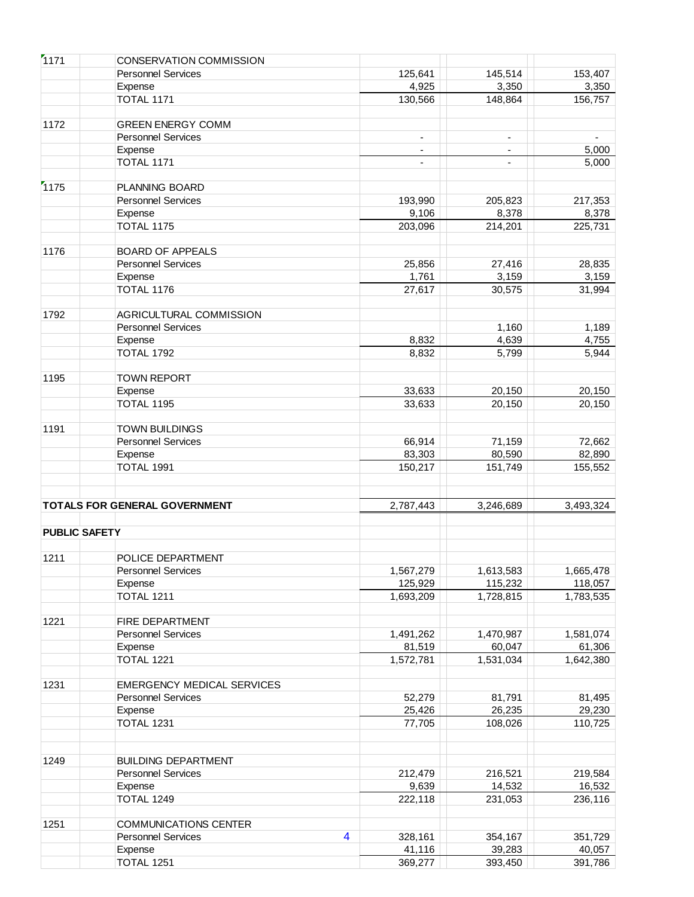| 1171                 | <b>CONSERVATION COMMISSION</b>    |                |                |                          |           |
|----------------------|-----------------------------------|----------------|----------------|--------------------------|-----------|
|                      | <b>Personnel Services</b>         |                | 125,641        | 145,514                  | 153,407   |
|                      | Expense                           |                | 4,925          | 3,350                    | 3,350     |
|                      | <b>TOTAL 1171</b>                 |                | 130,566        | 148,864                  | 156,757   |
|                      |                                   |                |                |                          |           |
| 1172                 | <b>GREEN ENERGY COMM</b>          |                |                |                          |           |
|                      | <b>Personnel Services</b>         |                | $\blacksquare$ | $\overline{\phantom{a}}$ |           |
|                      | Expense                           |                |                | $\overline{\phantom{0}}$ | 5,000     |
|                      | <b>TOTAL 1171</b>                 |                | $\blacksquare$ | $\overline{\phantom{a}}$ | 5,000     |
|                      |                                   |                |                |                          |           |
| 1175                 | PLANNING BOARD                    |                |                |                          |           |
|                      | <b>Personnel Services</b>         |                | 193,990        | 205,823                  | 217,353   |
|                      | Expense                           |                | 9,106          | 8,378                    | 8,378     |
|                      | <b>TOTAL 1175</b>                 |                | 203,096        | 214,201                  | 225,731   |
|                      |                                   |                |                |                          |           |
| 1176                 | <b>BOARD OF APPEALS</b>           |                |                |                          |           |
|                      | <b>Personnel Services</b>         |                | 25,856         | 27,416                   | 28,835    |
|                      | Expense                           |                | 1,761          | 3,159                    | 3,159     |
|                      | TOTAL 1176                        |                | 27,617         | 30,575                   | 31,994    |
|                      |                                   |                |                |                          |           |
| 1792                 | AGRICULTURAL COMMISSION           |                |                |                          |           |
|                      | <b>Personnel Services</b>         |                |                | 1,160                    | 1,189     |
|                      | Expense                           |                | 8,832          | 4,639                    | 4,755     |
|                      | <b>TOTAL 1792</b>                 |                | 8,832          | 5,799                    | 5,944     |
|                      |                                   |                |                |                          |           |
| 1195                 | <b>TOWN REPORT</b>                |                |                |                          |           |
|                      | Expense                           |                | 33,633         | 20,150                   | 20,150    |
|                      | TOTAL 1195                        |                | 33,633         | 20,150                   | 20,150    |
|                      |                                   |                |                |                          |           |
| 1191                 | <b>TOWN BUILDINGS</b>             |                |                |                          |           |
|                      | <b>Personnel Services</b>         |                | 66,914         | 71,159                   | 72,662    |
|                      | Expense                           |                | 83,303         | 80,590                   | 82,890    |
|                      | TOTAL 1991                        |                | 150,217        | 151,749                  | 155,552   |
|                      |                                   |                |                |                          |           |
|                      | TOTALS FOR GENERAL GOVERNMENT     |                | 2,787,443      | 3,246,689                | 3,493,324 |
| <b>PUBLIC SAFETY</b> |                                   |                |                |                          |           |
|                      |                                   |                |                |                          |           |
| 1211                 | POLICE DEPARTMENT                 |                |                |                          |           |
|                      | <b>Personnel Services</b>         |                | 1,567,279      | 1,613,583                | 1,665,478 |
|                      | Expense                           |                | 125,929        | 115,232                  | 118,057   |
|                      | TOTAL 1211                        |                | 1,693,209      | 1,728,815                | 1,783,535 |
|                      |                                   |                |                |                          |           |
| 1221                 | FIRE DEPARTMENT                   |                |                |                          |           |
|                      | <b>Personnel Services</b>         |                | 1,491,262      | 1,470,987                | 1,581,074 |
|                      | Expense                           |                | 81,519         | 60,047                   | 61,306    |
|                      | <b>TOTAL 1221</b>                 |                | 1,572,781      | 1,531,034                | 1,642,380 |
|                      |                                   |                |                |                          |           |
| 1231                 | <b>EMERGENCY MEDICAL SERVICES</b> |                |                |                          |           |
|                      | <b>Personnel Services</b>         |                | 52,279         | 81,791                   | 81,495    |
|                      | Expense                           |                | 25,426         | 26,235                   | 29,230    |
|                      | <b>TOTAL 1231</b>                 |                | 77,705         | 108,026                  | 110,725   |
|                      |                                   |                |                |                          |           |
| 1249                 | <b>BUILDING DEPARTMENT</b>        |                |                |                          |           |
|                      | <b>Personnel Services</b>         |                | 212,479        | 216,521                  | 219,584   |
|                      | Expense                           |                | 9,639          | 14,532                   | 16,532    |
|                      | <b>TOTAL 1249</b>                 |                | 222,118        | 231,053                  | 236,116   |
|                      |                                   |                |                |                          |           |
| 1251                 | <b>COMMUNICATIONS CENTER</b>      |                |                |                          |           |
|                      | <b>Personnel Services</b>         | $\overline{4}$ | 328,161        | 354,167                  | 351,729   |
|                      | Expense                           |                | 41,116         | 39,283                   | 40,057    |
|                      | TOTAL 1251                        |                | 369,277        | 393,450                  | 391,786   |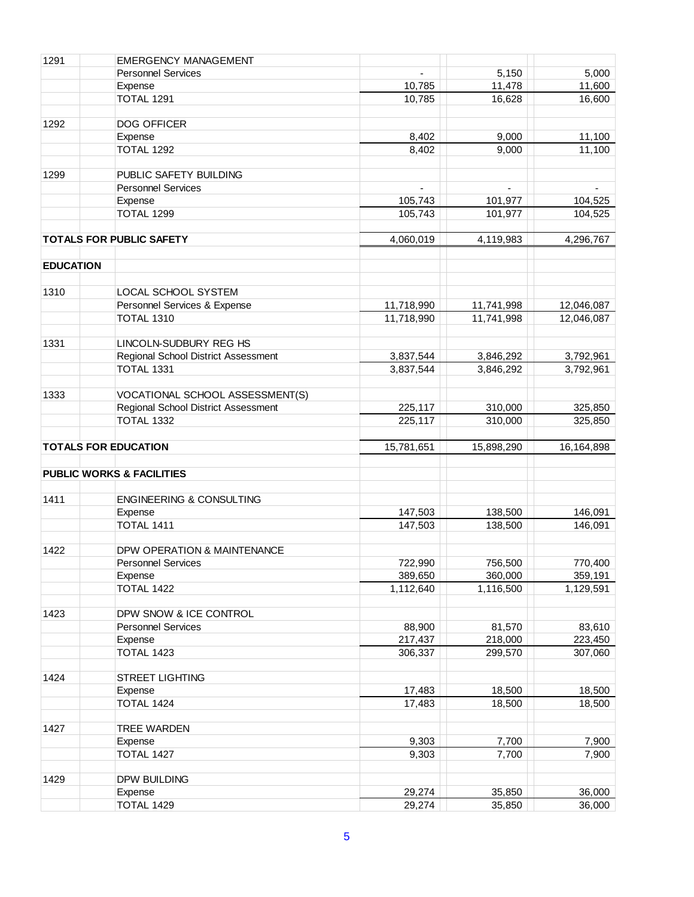| 1291             | <b>EMERGENCY MANAGEMENT</b>          |                  |                  |                  |
|------------------|--------------------------------------|------------------|------------------|------------------|
|                  | <b>Personnel Services</b>            |                  | 5,150            | 5,000            |
|                  | Expense                              | 10,785           | 11,478           | 11,600           |
|                  | <b>TOTAL 1291</b>                    | 10,785           | 16,628           | 16,600           |
|                  |                                      |                  |                  |                  |
| 1292             | DOG OFFICER                          |                  |                  |                  |
|                  | Expense                              | 8,402            | 9,000            | 11,100           |
|                  |                                      |                  |                  |                  |
|                  | <b>TOTAL 1292</b>                    | 8,402            | 9,000            | 11,100           |
|                  |                                      |                  |                  |                  |
| 1299             | PUBLIC SAFETY BUILDING               |                  |                  |                  |
|                  | <b>Personnel Services</b>            |                  |                  |                  |
|                  | Expense                              | 105,743          | 101,977          | 104,525          |
|                  | <b>TOTAL 1299</b>                    | 105,743          | 101,977          | 104,525          |
|                  |                                      |                  |                  |                  |
|                  | <b>TOTALS FOR PUBLIC SAFETY</b>      | 4,060,019        | 4,119,983        | 4,296,767        |
|                  |                                      |                  |                  |                  |
| <b>EDUCATION</b> |                                      |                  |                  |                  |
|                  |                                      |                  |                  |                  |
| 1310             | LOCAL SCHOOL SYSTEM                  |                  |                  |                  |
|                  | Personnel Services & Expense         | 11,718,990       | 11,741,998       | 12,046,087       |
|                  | <b>TOTAL 1310</b>                    | 11,718,990       | 11,741,998       | 12,046,087       |
|                  |                                      |                  |                  |                  |
| 1331             | LINCOLN-SUDBURY REG HS               |                  |                  |                  |
|                  | Regional School District Assessment  | 3,837,544        | 3,846,292        | 3,792,961        |
|                  | TOTAL 1331                           | 3,837,544        | 3,846,292        | 3,792,961        |
|                  |                                      |                  |                  |                  |
| 1333             | VOCATIONAL SCHOOL ASSESSMENT(S)      |                  |                  |                  |
|                  | Regional School District Assessment  | 225,117          | 310,000          | 325,850          |
|                  | <b>TOTAL 1332</b>                    | 225,117          | 310,000          | 325,850          |
|                  |                                      |                  |                  |                  |
|                  | <b>TOTALS FOR EDUCATION</b>          | 15,781,651       | 15,898,290       | 16,164,898       |
|                  |                                      |                  |                  |                  |
|                  | <b>PUBLIC WORKS &amp; FACILITIES</b> |                  |                  |                  |
|                  |                                      |                  |                  |                  |
| 1411             | <b>ENGINEERING &amp; CONSULTING</b>  |                  |                  |                  |
|                  | Expense                              | 147,503          | 138,500          | 146,091          |
|                  | <b>TOTAL 1411</b>                    | 147,503          | 138,500          | 146,091          |
|                  |                                      |                  |                  |                  |
| 1422             | DPW OPERATION & MAINTENANCE          |                  |                  |                  |
|                  | Personnel Services                   | 722,990          | 756,500          | 770,400          |
|                  | Expense                              | 389,650          | 360,000          | 359,191          |
|                  | <b>TOTAL 1422</b>                    | 1,112,640        | 1,116,500        | 1,129,591        |
|                  |                                      |                  |                  |                  |
| 1423             | DPW SNOW & ICE CONTROL               |                  |                  |                  |
|                  | <b>Personnel Services</b>            | 88,900           | 81,570           | 83,610           |
|                  | Expense                              | 217,437          | 218,000          | 223,450          |
|                  | <b>TOTAL 1423</b>                    | 306,337          | 299,570          | 307,060          |
|                  |                                      |                  |                  |                  |
| 1424             | <b>STREET LIGHTING</b>               |                  |                  |                  |
|                  | Expense                              | 17,483           | 18,500           | 18,500           |
|                  | <b>TOTAL 1424</b>                    | 17,483           | 18,500           | 18,500           |
|                  |                                      |                  |                  |                  |
| 1427             | <b>TREE WARDEN</b>                   |                  |                  |                  |
|                  |                                      | 9,303            | 7,700            | 7,900            |
|                  | Expense<br>TOTAL 1427                |                  |                  |                  |
|                  |                                      | 9,303            | 7,700            | 7,900            |
|                  |                                      |                  |                  |                  |
| 1429             | DPW BUILDING                         |                  |                  |                  |
|                  | Expense<br><b>TOTAL 1429</b>         | 29,274<br>29,274 | 35,850<br>35,850 | 36,000<br>36,000 |
|                  |                                      |                  |                  |                  |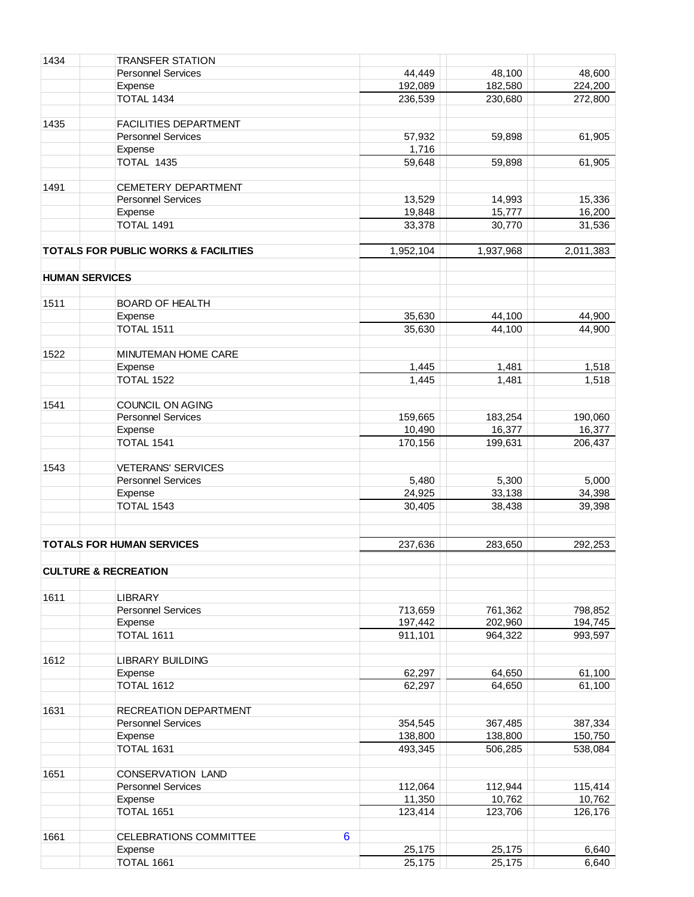| 1434                  | <b>TRANSFER STATION</b>                         |                 |           |           |
|-----------------------|-------------------------------------------------|-----------------|-----------|-----------|
|                       | <b>Personnel Services</b>                       | 44,449          | 48,100    | 48,600    |
|                       | Expense                                         | 192,089         | 182,580   | 224,200   |
|                       | <b>TOTAL 1434</b>                               | 236,539         | 230,680   | 272,800   |
|                       |                                                 |                 |           |           |
| 1435                  | <b>FACILITIES DEPARTMENT</b>                    |                 |           |           |
|                       | <b>Personnel Services</b>                       | 57,932          | 59,898    | 61,905    |
|                       | Expense                                         | 1,716           |           |           |
|                       | TOTAL 1435                                      | 59,648          | 59,898    | 61,905    |
|                       |                                                 |                 |           |           |
| 1491                  | CEMETERY DEPARTMENT                             |                 |           |           |
|                       | <b>Personnel Services</b>                       | 13,529          | 14,993    | 15,336    |
|                       | Expense                                         | 19,848          | 15,777    | 16,200    |
|                       | <b>TOTAL 1491</b>                               | 33,378          | 30,770    | 31,536    |
|                       |                                                 |                 |           |           |
|                       | <b>TOTALS FOR PUBLIC WORKS &amp; FACILITIES</b> | 1,952,104       | 1,937,968 | 2,011,383 |
|                       |                                                 |                 |           |           |
| <b>HUMAN SERVICES</b> |                                                 |                 |           |           |
|                       |                                                 |                 |           |           |
| 1511                  | <b>BOARD OF HEALTH</b>                          |                 |           |           |
|                       | Expense                                         | 35,630          | 44,100    | 44,900    |
|                       | TOTAL 1511                                      | 35,630          | 44,100    | 44,900    |
|                       |                                                 |                 |           |           |
| 1522                  | MINUTEMAN HOME CARE                             |                 |           |           |
|                       | Expense                                         | 1,445           | 1,481     | 1,518     |
|                       | <b>TOTAL 1522</b>                               | 1,445           | 1,481     | 1,518     |
|                       |                                                 |                 |           |           |
| 1541                  | COUNCIL ON AGING                                |                 |           |           |
|                       | <b>Personnel Services</b>                       | 159,665         | 183,254   | 190,060   |
|                       | Expense                                         | 10,490          | 16,377    | 16,377    |
|                       | TOTAL 1541                                      | 170,156         | 199,631   | 206,437   |
|                       |                                                 |                 |           |           |
| 1543                  | <b>VETERANS' SERVICES</b>                       |                 |           |           |
|                       | <b>Personnel Services</b>                       | 5,480           | 5,300     | 5,000     |
|                       | Expense                                         | 24,925          | 33,138    | 34,398    |
|                       | <b>TOTAL 1543</b>                               | 30,405          | 38,438    | 39,398    |
|                       |                                                 |                 |           |           |
|                       |                                                 |                 |           |           |
|                       | <b>TOTALS FOR HUMAN SERVICES</b>                | 237,636         | 283,650   | 292,253   |
|                       |                                                 |                 |           |           |
|                       | <b>CULTURE &amp; RECREATION</b>                 |                 |           |           |
|                       |                                                 |                 |           |           |
| 1611                  | <b>LIBRARY</b>                                  |                 |           |           |
|                       | <b>Personnel Services</b>                       | 713,659         | 761,362   | 798,852   |
|                       | Expense                                         | 197,442         | 202,960   | 194,745   |
|                       | TOTAL 1611                                      | 911,101         | 964,322   | 993,597   |
|                       |                                                 |                 |           |           |
| 1612                  | <b>LIBRARY BUILDING</b>                         |                 |           |           |
|                       | Expense                                         | 62,297          | 64,650    | 61,100    |
|                       | <b>TOTAL 1612</b>                               | 62,297          | 64,650    | 61,100    |
|                       |                                                 |                 |           |           |
| 1631                  | RECREATION DEPARTMENT                           |                 |           |           |
|                       | <b>Personnel Services</b>                       | 354,545         | 367,485   | 387,334   |
|                       | Expense                                         | 138,800         | 138,800   | 150,750   |
|                       | TOTAL 1631                                      | 493,345         | 506,285   | 538,084   |
|                       |                                                 |                 |           |           |
| 1651                  | CONSERVATION LAND                               |                 |           |           |
|                       | <b>Personnel Services</b>                       | 112,064         | 112,944   | 115,414   |
|                       | Expense                                         | 11,350          | 10,762    | 10,762    |
|                       | TOTAL 1651                                      | 123,414         | 123,706   | 126,176   |
|                       |                                                 |                 |           |           |
| 1661                  | CELEBRATIONS COMMITTEE                          | $6\phantom{1}6$ |           |           |
|                       | Expense                                         | 25,175          | 25,175    | 6,640     |
|                       | TOTAL 1661                                      | 25,175          | 25,175    | 6,640     |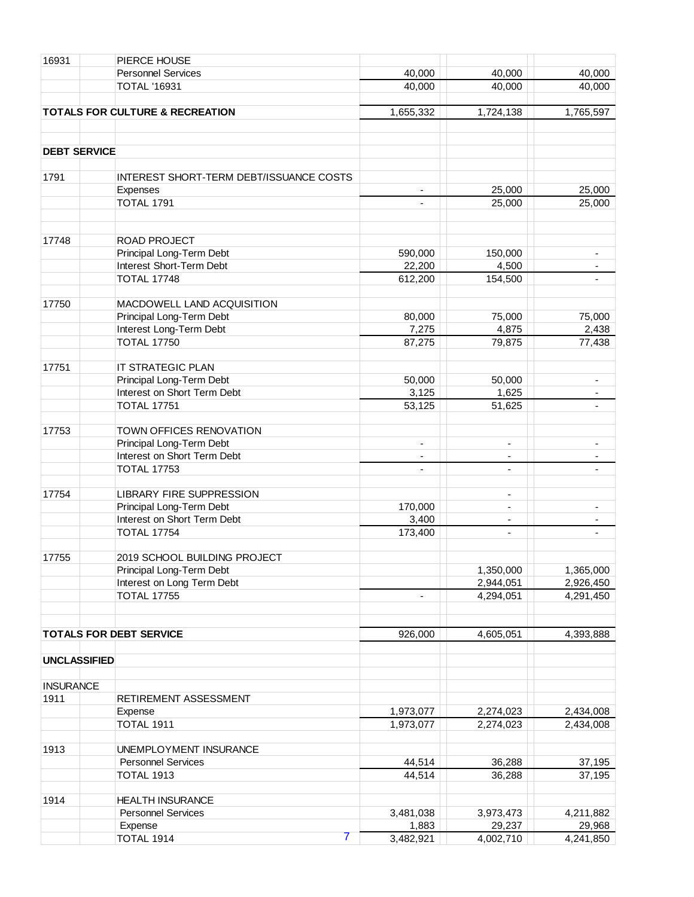| 16931               | PIERCE HOUSE                               |                          |                          |                          |
|---------------------|--------------------------------------------|--------------------------|--------------------------|--------------------------|
|                     | <b>Personnel Services</b>                  | 40,000                   | 40,000                   | 40,000                   |
|                     | <b>TOTAL '16931</b>                        | 40,000                   | 40,000                   | 40,000                   |
|                     |                                            |                          |                          |                          |
|                     | <b>TOTALS FOR CULTURE &amp; RECREATION</b> | 1,655,332                | 1,724,138                | 1,765,597                |
|                     |                                            |                          |                          |                          |
| <b>DEBT SERVICE</b> |                                            |                          |                          |                          |
| 1791                | INTEREST SHORT-TERM DEBT/ISSUANCE COSTS    |                          |                          |                          |
|                     | Expenses                                   | $\overline{\phantom{a}}$ | 25,000                   | 25,000                   |
|                     | <b>TOTAL 1791</b>                          | $\blacksquare$           | 25,000                   | 25,000                   |
|                     |                                            |                          |                          |                          |
| 17748               | ROAD PROJECT                               |                          |                          |                          |
|                     | Principal Long-Term Debt                   | 590,000                  | 150,000                  | $\overline{\phantom{a}}$ |
|                     | Interest Short-Term Debt                   | 22,200                   | 4,500                    |                          |
|                     | <b>TOTAL 17748</b>                         | 612,200                  | 154,500                  |                          |
|                     |                                            |                          |                          |                          |
| 17750               | MACDOWELL LAND ACQUISITION                 |                          |                          |                          |
|                     | Principal Long-Term Debt                   | 80,000                   | 75,000                   | 75,000                   |
|                     | Interest Long-Term Debt                    | 7,275                    | 4,875                    | 2,438                    |
|                     | <b>TOTAL 17750</b>                         | 87,275                   | 79,875                   | 77,438                   |
| 17751               | IT STRATEGIC PLAN                          |                          |                          |                          |
|                     | Principal Long-Term Debt                   | 50,000                   | 50,000                   | $\blacksquare$           |
|                     | Interest on Short Term Debt                | 3,125                    | 1,625                    |                          |
|                     | <b>TOTAL 17751</b>                         | 53,125                   | 51,625                   | $\blacksquare$           |
|                     |                                            |                          |                          |                          |
| 17753               | TOWN OFFICES RENOVATION                    |                          |                          |                          |
|                     | Principal Long-Term Debt                   | $\overline{\phantom{a}}$ | ۰                        | $\overline{\phantom{a}}$ |
|                     | Interest on Short Term Debt                |                          | ÷,                       |                          |
|                     | <b>TOTAL 17753</b>                         | ÷,                       | $\overline{\phantom{a}}$ |                          |
| 17754               | <b>LIBRARY FIRE SUPPRESSION</b>            |                          | $\overline{\phantom{a}}$ |                          |
|                     | Principal Long-Term Debt                   | 170,000                  | ÷,                       |                          |
|                     | Interest on Short Term Debt                | 3,400                    | $\overline{\phantom{a}}$ |                          |
|                     | <b>TOTAL 17754</b>                         | 173,400                  | $\overline{\phantom{0}}$ | $\blacksquare$           |
|                     |                                            |                          |                          |                          |
| 17755               | 2019 SCHOOL BUILDING PROJECT               |                          |                          |                          |
|                     | Principal Long-Term Debt                   |                          | 1,350,000                | 1,365,000                |
|                     | Interest on Long Term Debt                 |                          | 2,944,051                | 2,926,450                |
|                     | <b>TOTAL 17755</b>                         |                          | 4,294,051                | 4,291,450                |
|                     |                                            |                          |                          |                          |
|                     | <b>TOTALS FOR DEBT SERVICE</b>             | 926,000                  | 4,605,051                | 4,393,888                |
| <b>UNCLASSIFIED</b> |                                            |                          |                          |                          |
|                     |                                            |                          |                          |                          |
| <b>INSURANCE</b>    |                                            |                          |                          |                          |
| 1911                | RETIREMENT ASSESSMENT                      |                          |                          |                          |
|                     | Expense                                    | 1,973,077                | 2,274,023                | 2,434,008                |
|                     | <b>TOTAL 1911</b>                          | 1,973,077                | 2,274,023                | 2,434,008                |
| 1913                | UNEMPLOYMENT INSURANCE                     |                          |                          |                          |
|                     | <b>Personnel Services</b>                  | 44,514                   | 36,288                   | 37,195                   |
|                     | <b>TOTAL 1913</b>                          | 44,514                   | 36,288                   | 37,195                   |
| 1914                | <b>HEALTH INSURANCE</b>                    |                          |                          |                          |
|                     | <b>Personnel Services</b>                  | 3,481,038                | 3,973,473                | 4,211,882                |
|                     | Expense                                    | 1,883                    | 29,237                   | 29,968                   |
|                     | 7<br><b>TOTAL 1914</b>                     | 3,482,921                | 4,002,710                | 4,241,850                |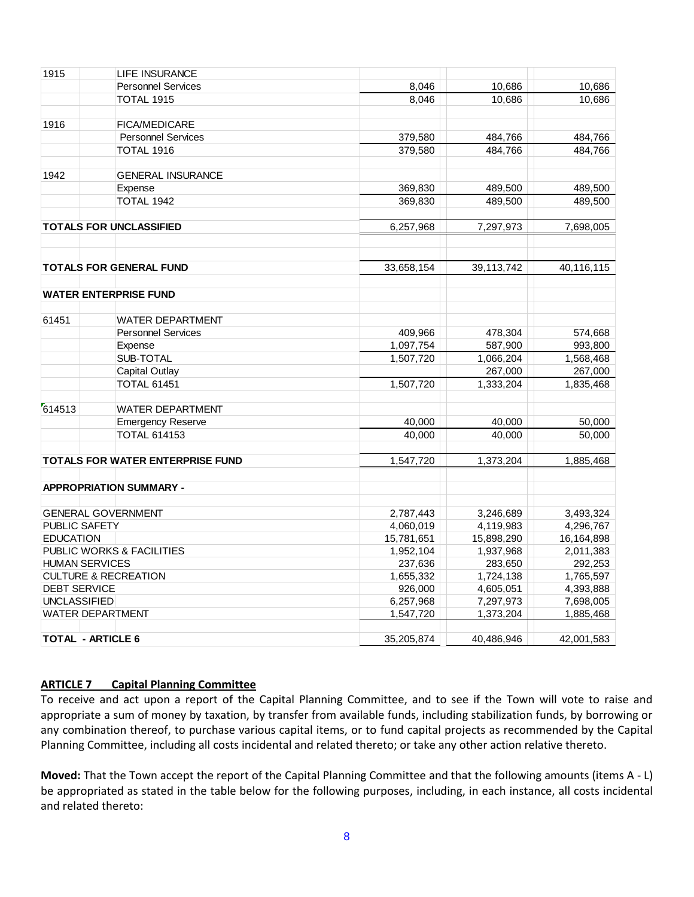| 1915                     | <b>LIFE INSURANCE</b>                   |                         |                         |                         |
|--------------------------|-----------------------------------------|-------------------------|-------------------------|-------------------------|
|                          | <b>Personnel Services</b>               | 8,046                   | 10,686                  | 10,686                  |
|                          | <b>TOTAL 1915</b>                       | 8,046                   | 10,686                  | 10,686                  |
| 1916                     | <b>FICA/MEDICARE</b>                    |                         |                         |                         |
|                          | <b>Personnel Services</b>               | 379,580                 | 484,766                 | 484,766                 |
|                          | <b>TOTAL 1916</b>                       | 379,580                 | 484,766                 | 484,766                 |
|                          |                                         |                         |                         |                         |
| 1942                     | <b>GENERAL INSURANCE</b>                |                         |                         |                         |
|                          | Expense                                 | 369,830                 | 489,500                 | 489,500                 |
|                          | TOTAL 1942                              | 369,830                 | 489,500                 | 489,500                 |
|                          | <b>TOTALS FOR UNCLASSIFIED</b>          | 6,257,968               | 7,297,973               | 7,698,005               |
|                          | <b>TOTALS FOR GENERAL FUND</b>          | 33,658,154              | 39,113,742              | 40,116,115              |
|                          |                                         |                         |                         |                         |
|                          | <b>WATER ENTERPRISE FUND</b>            |                         |                         |                         |
| 61451                    | <b>WATER DEPARTMENT</b>                 |                         |                         |                         |
|                          | <b>Personnel Services</b>               | 409,966                 | 478,304                 | 574,668                 |
|                          | Expense                                 | 1,097,754               | 587,900                 | 993,800                 |
|                          | SUB-TOTAL                               | 1,507,720               | 1,066,204               | 1,568,468               |
|                          | Capital Outlay                          |                         | 267,000                 | 267,000                 |
|                          | <b>TOTAL 61451</b>                      | 1,507,720               | 1,333,204               | 1,835,468               |
| 614513                   | <b>WATER DEPARTMENT</b>                 |                         |                         |                         |
|                          | <b>Emergency Reserve</b>                | 40,000                  | 40,000                  | 50,000                  |
|                          | <b>TOTAL 614153</b>                     | 40,000                  | 40,000                  | 50,000                  |
|                          | <b>TOTALS FOR WATER ENTERPRISE FUND</b> | 1.547.720               | 1,373,204               | 1,885,468               |
|                          | <b>APPROPRIATION SUMMARY -</b>          |                         |                         |                         |
|                          |                                         |                         |                         |                         |
| PUBLIC SAFETY            | <b>GENERAL GOVERNMENT</b>               | 2,787,443               | 3,246,689               | 3,493,324               |
| <b>EDUCATION</b>         |                                         | 4,060,019<br>15,781,651 | 4,119,983<br>15,898,290 | 4,296,767<br>16,164,898 |
|                          | PUBLIC WORKS & FACILITIES               | 1,952,104               | 1,937,968               | 2,011,383               |
| <b>HUMAN SERVICES</b>    |                                         | 237,636                 | 283,650                 | 292,253                 |
|                          | <b>CULTURE &amp; RECREATION</b>         | 1,655,332               | 1,724,138               | 1,765,597               |
| <b>DEBT SERVICE</b>      |                                         | 926,000                 | 4,605,051               | 4,393,888               |
| <b>UNCLASSIFIED</b>      |                                         | 6,257,968               | 7,297,973               | 7,698,005               |
|                          | WATER DEPARTMENT                        | 1,547,720               | 1,373,204               | 1,885,468               |
| <b>TOTAL - ARTICLE 6</b> |                                         | 35,205,874              | 40,486,946              | 42,001,583              |

# **ARTICLE 7 Capital Planning Committee**

To receive and act upon a report of the Capital Planning Committee, and to see if the Town will vote to raise and appropriate a sum of money by taxation, by transfer from available funds, including stabilization funds, by borrowing or any combination thereof, to purchase various capital items, or to fund capital projects as recommended by the Capital Planning Committee, including all costs incidental and related thereto; or take any other action relative thereto.

**Moved:** That the Town accept the report of the Capital Planning Committee and that the following amounts (items A - L) be appropriated as stated in the table below for the following purposes, including, in each instance, all costs incidental and related thereto: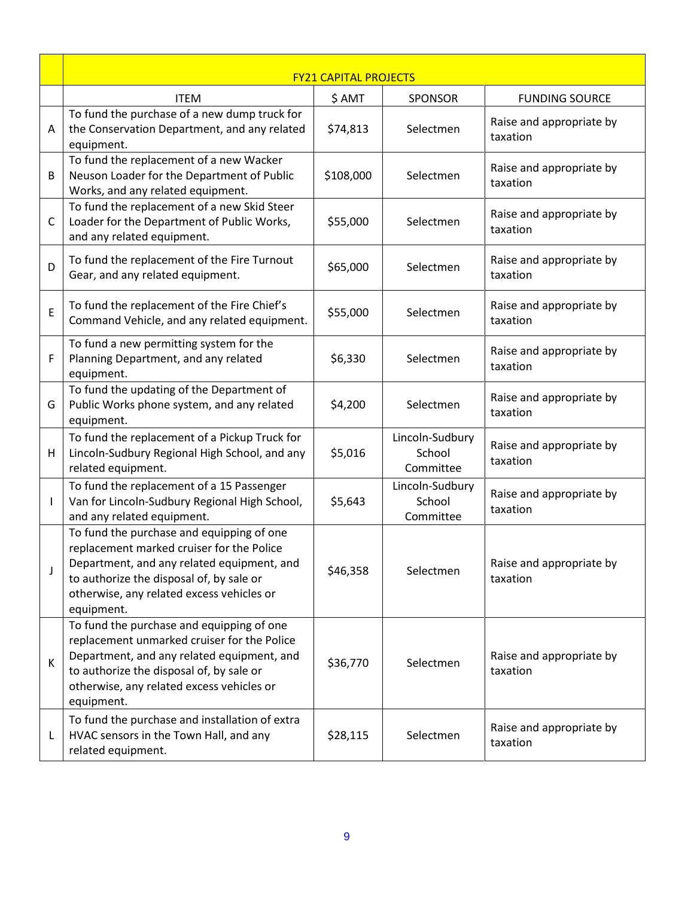|              | <b>FY21 CAPITAL PROJECTS</b>                                                                                                                                                                                                                  |           |                                        |                                      |
|--------------|-----------------------------------------------------------------------------------------------------------------------------------------------------------------------------------------------------------------------------------------------|-----------|----------------------------------------|--------------------------------------|
|              | <b>ITEM</b>                                                                                                                                                                                                                                   | \$ AMT    | <b>SPONSOR</b>                         | <b>FUNDING SOURCE</b>                |
| A            | To fund the purchase of a new dump truck for<br>the Conservation Department, and any related<br>equipment.                                                                                                                                    | \$74,813  | Selectmen                              | Raise and appropriate by<br>taxation |
| B            | To fund the replacement of a new Wacker<br>Neuson Loader for the Department of Public<br>Works, and any related equipment.                                                                                                                    | \$108,000 | Selectmen                              | Raise and appropriate by<br>taxation |
| C            | To fund the replacement of a new Skid Steer<br>Loader for the Department of Public Works,<br>and any related equipment.                                                                                                                       | \$55,000  | Selectmen                              | Raise and appropriate by<br>taxation |
| D            | To fund the replacement of the Fire Turnout<br>Gear, and any related equipment.                                                                                                                                                               | \$65,000  | Selectmen                              | Raise and appropriate by<br>taxation |
| E            | To fund the replacement of the Fire Chief's<br>Command Vehicle, and any related equipment.                                                                                                                                                    | \$55,000  | Selectmen                              | Raise and appropriate by<br>taxation |
| F            | To fund a new permitting system for the<br>Planning Department, and any related<br>equipment.                                                                                                                                                 | \$6,330   | Selectmen                              | Raise and appropriate by<br>taxation |
| G            | To fund the updating of the Department of<br>Public Works phone system, and any related<br>equipment.                                                                                                                                         | \$4,200   | Selectmen                              | Raise and appropriate by<br>taxation |
| H            | To fund the replacement of a Pickup Truck for<br>Lincoln-Sudbury Regional High School, and any<br>related equipment.                                                                                                                          | \$5,016   | Lincoln-Sudbury<br>School<br>Committee | Raise and appropriate by<br>taxation |
|              | To fund the replacement of a 15 Passenger<br>Van for Lincoln-Sudbury Regional High School,<br>and any related equipment.                                                                                                                      | \$5,643   | Lincoln-Sudbury<br>School<br>Committee | Raise and appropriate by<br>taxation |
| $\mathsf{l}$ | To fund the purchase and equipping of one<br>replacement marked cruiser for the Police<br>Department, and any related equipment, and<br>to authorize the disposal of, by sale or<br>otherwise, any related excess vehicles or<br>equipment.   | \$46,358  | Selectmen                              | Raise and appropriate by<br>taxation |
| K            | To fund the purchase and equipping of one<br>replacement unmarked cruiser for the Police<br>Department, and any related equipment, and<br>to authorize the disposal of, by sale or<br>otherwise, any related excess vehicles or<br>equipment. | \$36,770  | Selectmen                              | Raise and appropriate by<br>taxation |
| L            | To fund the purchase and installation of extra<br>HVAC sensors in the Town Hall, and any<br>related equipment.                                                                                                                                | \$28,115  | Selectmen                              | Raise and appropriate by<br>taxation |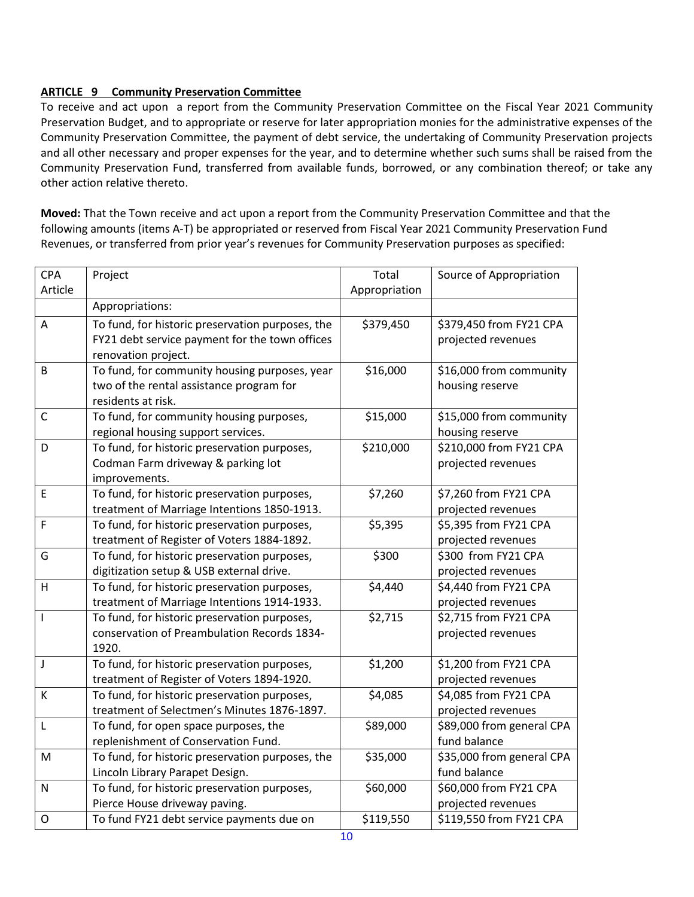# **ARTICLE 9 Community Preservation Committee**

To receive and act upon a report from the Community Preservation Committee on the Fiscal Year 2021 Community Preservation Budget, and to appropriate or reserve for later appropriation monies for the administrative expenses of the Community Preservation Committee, the payment of debt service, the undertaking of Community Preservation projects and all other necessary and proper expenses for the year, and to determine whether such sums shall be raised from the Community Preservation Fund, transferred from available funds, borrowed, or any combination thereof; or take any other action relative thereto.

**Moved:** That the Town receive and act upon a report from the Community Preservation Committee and that the following amounts (items A-T) be appropriated or reserved from Fiscal Year 2021 Community Preservation Fund Revenues, or transferred from prior year's revenues for Community Preservation purposes as specified:

| <b>CPA</b>   | Project                                          | Total         | Source of Appropriation   |
|--------------|--------------------------------------------------|---------------|---------------------------|
| Article      |                                                  | Appropriation |                           |
|              | Appropriations:                                  |               |                           |
| Α            | To fund, for historic preservation purposes, the | \$379,450     | \$379,450 from FY21 CPA   |
|              | FY21 debt service payment for the town offices   |               | projected revenues        |
|              | renovation project.                              |               |                           |
| B            | To fund, for community housing purposes, year    | \$16,000      | \$16,000 from community   |
|              | two of the rental assistance program for         |               | housing reserve           |
|              | residents at risk.                               |               |                           |
| $\mathsf{C}$ | To fund, for community housing purposes,         | \$15,000      | \$15,000 from community   |
|              | regional housing support services.               |               | housing reserve           |
| D            | To fund, for historic preservation purposes,     | \$210,000     | \$210,000 from FY21 CPA   |
|              | Codman Farm driveway & parking lot               |               | projected revenues        |
|              | improvements.                                    |               |                           |
| E            | To fund, for historic preservation purposes,     | \$7,260       | \$7,260 from FY21 CPA     |
|              | treatment of Marriage Intentions 1850-1913.      |               | projected revenues        |
| F            | To fund, for historic preservation purposes,     | \$5,395       | \$5,395 from FY21 CPA     |
|              | treatment of Register of Voters 1884-1892.       |               | projected revenues        |
| G            | To fund, for historic preservation purposes,     | \$300         | \$300 from FY21 CPA       |
|              | digitization setup & USB external drive.         |               | projected revenues        |
| H            | To fund, for historic preservation purposes,     | \$4,440       | \$4,440 from FY21 CPA     |
|              | treatment of Marriage Intentions 1914-1933.      |               | projected revenues        |
| ı            | To fund, for historic preservation purposes,     | \$2,715       | \$2,715 from FY21 CPA     |
|              | conservation of Preambulation Records 1834-      |               | projected revenues        |
|              | 1920.                                            |               |                           |
| J            | To fund, for historic preservation purposes,     | \$1,200       | \$1,200 from FY21 CPA     |
|              | treatment of Register of Voters 1894-1920.       |               | projected revenues        |
| К            | To fund, for historic preservation purposes,     | \$4,085       | \$4,085 from FY21 CPA     |
|              | treatment of Selectmen's Minutes 1876-1897.      |               | projected revenues        |
| L            | To fund, for open space purposes, the            | \$89,000      | \$89,000 from general CPA |
|              | replenishment of Conservation Fund.              |               | fund balance              |
| M            | To fund, for historic preservation purposes, the | \$35,000      | \$35,000 from general CPA |
|              | Lincoln Library Parapet Design.                  |               | fund balance              |
| $\mathsf{N}$ | To fund, for historic preservation purposes,     | \$60,000      | \$60,000 from FY21 CPA    |
|              | Pierce House driveway paving.                    |               | projected revenues        |
| $\mathsf O$  | To fund FY21 debt service payments due on        | \$119,550     | \$119,550 from FY21 CPA   |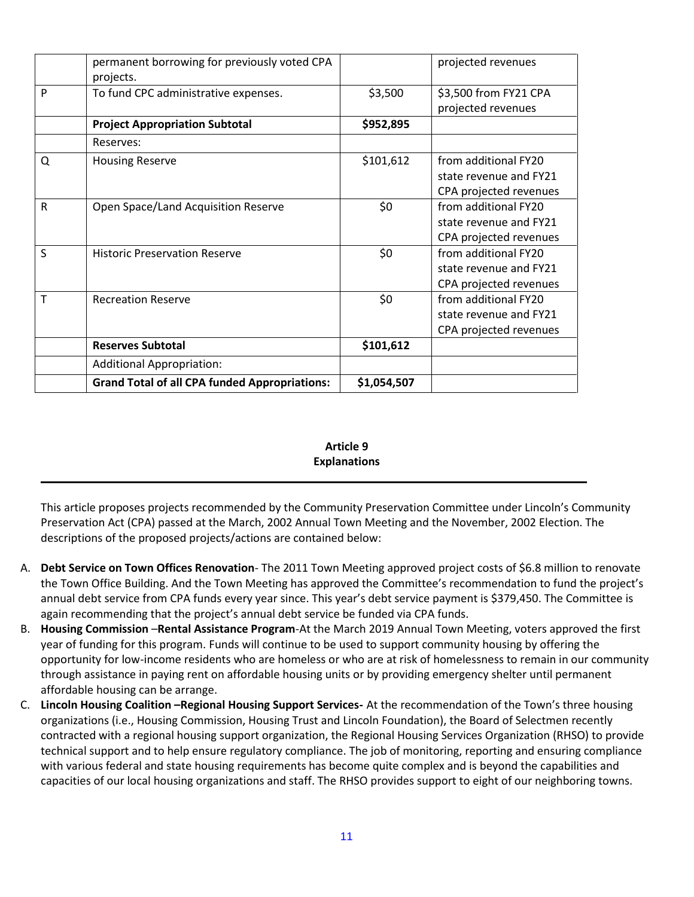|   | permanent borrowing for previously voted CPA<br>projects. |             | projected revenues                                                       |
|---|-----------------------------------------------------------|-------------|--------------------------------------------------------------------------|
| P | To fund CPC administrative expenses.                      | \$3,500     | \$3,500 from FY21 CPA<br>projected revenues                              |
|   | <b>Project Appropriation Subtotal</b>                     | \$952,895   |                                                                          |
|   | Reserves:                                                 |             |                                                                          |
| Q | <b>Housing Reserve</b>                                    | \$101,612   | from additional FY20<br>state revenue and FY21<br>CPA projected revenues |
| R | Open Space/Land Acquisition Reserve                       | \$0         | from additional FY20<br>state revenue and FY21<br>CPA projected revenues |
| S | <b>Historic Preservation Reserve</b>                      | \$0         | from additional FY20<br>state revenue and FY21<br>CPA projected revenues |
| т | <b>Recreation Reserve</b>                                 | \$0         | from additional FY20<br>state revenue and FY21<br>CPA projected revenues |
|   | <b>Reserves Subtotal</b>                                  | \$101,612   |                                                                          |
|   | <b>Additional Appropriation:</b>                          |             |                                                                          |
|   | <b>Grand Total of all CPA funded Appropriations:</b>      | \$1,054,507 |                                                                          |
|   |                                                           |             |                                                                          |

# **Article 9 Explanations**

This article proposes projects recommended by the Community Preservation Committee under Lincoln's Community Preservation Act (CPA) passed at the March, 2002 Annual Town Meeting and the November, 2002 Election. The descriptions of the proposed projects/actions are contained below:

**\_\_\_\_\_\_\_\_\_\_\_\_\_\_\_\_\_\_\_\_\_\_\_\_\_\_\_\_\_\_\_\_\_\_\_\_\_\_\_\_\_\_\_\_\_\_\_\_\_\_\_\_\_\_\_\_\_\_\_\_\_\_\_\_\_\_\_\_\_\_\_\_\_\_\_\_\_\_\_\_\_\_\_\_\_\_\_\_**

- A. **Debt Service on Town Offices Renovation** The 2011 Town Meeting approved project costs of \$6.8 million to renovate the Town Office Building. And the Town Meeting has approved the Committee's recommendation to fund the project's annual debt service from CPA funds every year since. This year's debt service payment is \$379,450. The Committee is again recommending that the project's annual debt service be funded via CPA funds.
- B. **Housing Commission** –**Rental Assistance Program**-At the March 2019 Annual Town Meeting, voters approved the first year of funding for this program. Funds will continue to be used to support community housing by offering the opportunity for low-income residents who are homeless or who are at risk of homelessness to remain in our community through assistance in paying rent on affordable housing units or by providing emergency shelter until permanent affordable housing can be arrange.
- C. **Lincoln Housing Coalition –Regional Housing Support Services-** At the recommendation of the Town's three housing organizations (i.e., Housing Commission, Housing Trust and Lincoln Foundation), the Board of Selectmen recently contracted with a regional housing support organization, the Regional Housing Services Organization (RHSO) to provide technical support and to help ensure regulatory compliance. The job of monitoring, reporting and ensuring compliance with various federal and state housing requirements has become quite complex and is beyond the capabilities and capacities of our local housing organizations and staff. The RHSO provides support to eight of our neighboring towns.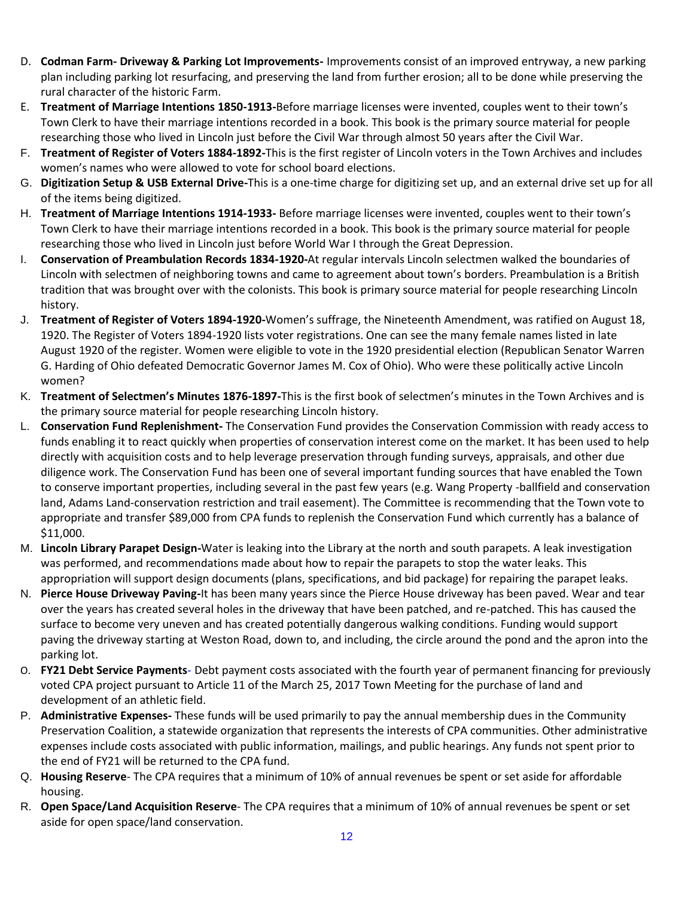- D. **Codman Farm- Driveway & Parking Lot Improvements-** Improvements consist of an improved entryway, a new parking plan including parking lot resurfacing, and preserving the land from further erosion; all to be done while preserving the rural character of the historic Farm.
- E. **Treatment of Marriage Intentions 1850-1913-**Before marriage licenses were invented, couples went to their town's Town Clerk to have their marriage intentions recorded in a book. This book is the primary source material for people researching those who lived in Lincoln just before the Civil War through almost 50 years after the Civil War.
- F. **Treatment of Register of Voters 1884-1892-**This is the first register of Lincoln voters in the Town Archives and includes women's names who were allowed to vote for school board elections.
- G. **Digitization Setup & USB External Drive-**This is a one-time charge for digitizing set up, and an external drive set up for all of the items being digitized.
- H. **Treatment of Marriage Intentions 1914-1933-** Before marriage licenses were invented, couples went to their town's Town Clerk to have their marriage intentions recorded in a book. This book is the primary source material for people researching those who lived in Lincoln just before World War I through the Great Depression.
- I. **Conservation of Preambulation Records 1834-1920-**At regular intervals Lincoln selectmen walked the boundaries of Lincoln with selectmen of neighboring towns and came to agreement about town's borders. Preambulation is a British tradition that was brought over with the colonists. This book is primary source material for people researching Lincoln history.
- J. **Treatment of Register of Voters 1894-1920-**Women's suffrage, the Nineteenth Amendment, was ratified on August 18, 1920. The Register of Voters 1894-1920 lists voter registrations. One can see the many female names listed in late August 1920 of the register. Women were eligible to vote in the 1920 presidential election (Republican Senator Warren G. Harding of Ohio defeated Democratic Governor James M. Cox of Ohio). Who were these politically active Lincoln women?
- K. **Treatment of Selectmen's Minutes 1876-1897-**This is the first book of selectmen's minutes in the Town Archives and is the primary source material for people researching Lincoln history.
- L. **Conservation Fund Replenishment-** The Conservation Fund provides the Conservation Commission with ready access to funds enabling it to react quickly when properties of conservation interest come on the market. It has been used to help directly with acquisition costs and to help leverage preservation through funding surveys, appraisals, and other due diligence work. The Conservation Fund has been one of several important funding sources that have enabled the Town to conserve important properties, including several in the past few years (e.g. Wang Property -ballfield and conservation land, Adams Land-conservation restriction and trail easement). The Committee is recommending that the Town vote to appropriate and transfer \$89,000 from CPA funds to replenish the Conservation Fund which currently has a balance of \$11,000.
- M. **Lincoln Library Parapet Design-**Water is leaking into the Library at the north and south parapets. A leak investigation was performed, and recommendations made about how to repair the parapets to stop the water leaks. This appropriation will support design documents (plans, specifications, and bid package) for repairing the parapet leaks.
- N. **Pierce House Driveway Paving-**It has been many years since the Pierce House driveway has been paved. Wear and tear over the years has created several holes in the driveway that have been patched, and re-patched. This has caused the surface to become very uneven and has created potentially dangerous walking conditions. Funding would support paving the driveway starting at Weston Road, down to, and including, the circle around the pond and the apron into the parking lot.
- O. **FY21 Debt Service Payments** Debt payment costs associated with the fourth year of permanent financing for previously voted CPA project pursuant to Article 11 of the March 25, 2017 Town Meeting for the purchase of land and development of an athletic field.
- P. **Administrative Expenses-** These funds will be used primarily to pay the annual membership dues in the Community Preservation Coalition, a statewide organization that represents the interests of CPA communities. Other administrative expenses include costs associated with public information, mailings, and public hearings. Any funds not spent prior to the end of FY21 will be returned to the CPA fund.
- Q. **Housing Reserve** The CPA requires that a minimum of 10% of annual revenues be spent or set aside for affordable housing.
- R. **Open Space/Land Acquisition Reserve** The CPA requires that a minimum of 10% of annual revenues be spent or set aside for open space/land conservation.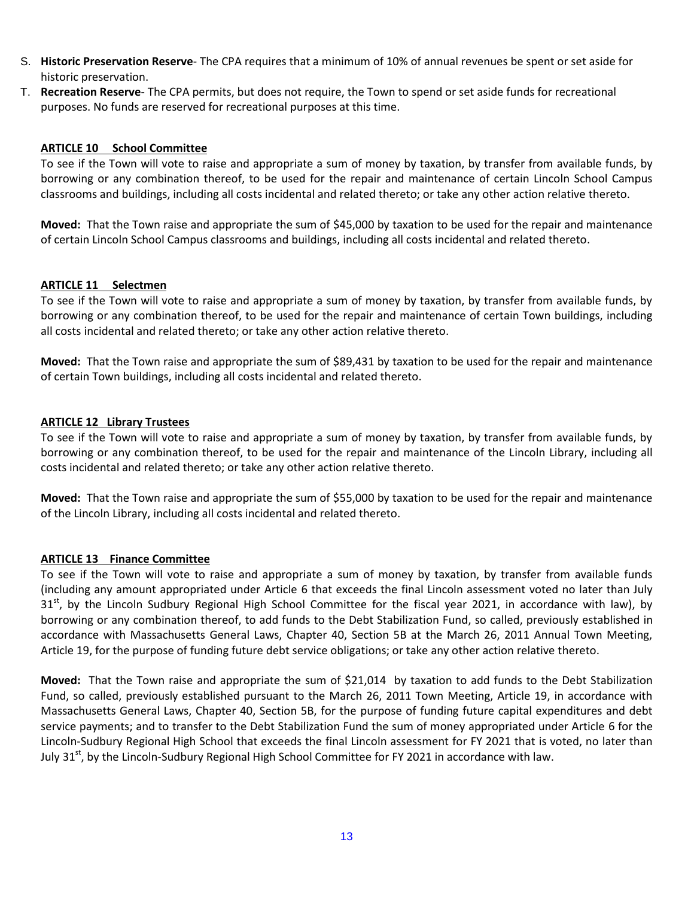- S. **Historic Preservation Reserve** The CPA requires that a minimum of 10% of annual revenues be spent or set aside for historic preservation.
- T. **Recreation Reserve** The CPA permits, but does not require, the Town to spend or set aside funds for recreational purposes. No funds are reserved for recreational purposes at this time.

## **ARTICLE 10 School Committee**

To see if the Town will vote to raise and appropriate a sum of money by taxation, by transfer from available funds, by borrowing or any combination thereof, to be used for the repair and maintenance of certain Lincoln School Campus classrooms and buildings, including all costs incidental and related thereto; or take any other action relative thereto.

**Moved:** That the Town raise and appropriate the sum of \$45,000 by taxation to be used for the repair and maintenance of certain Lincoln School Campus classrooms and buildings, including all costs incidental and related thereto.

#### **ARTICLE 11 Selectmen**

To see if the Town will vote to raise and appropriate a sum of money by taxation, by transfer from available funds, by borrowing or any combination thereof, to be used for the repair and maintenance of certain Town buildings, including all costs incidental and related thereto; or take any other action relative thereto.

**Moved:** That the Town raise and appropriate the sum of \$89,431 by taxation to be used for the repair and maintenance of certain Town buildings, including all costs incidental and related thereto.

#### **ARTICLE 12 Library Trustees**

To see if the Town will vote to raise and appropriate a sum of money by taxation, by transfer from available funds, by borrowing or any combination thereof, to be used for the repair and maintenance of the Lincoln Library, including all costs incidental and related thereto; or take any other action relative thereto.

**Moved:** That the Town raise and appropriate the sum of \$55,000 by taxation to be used for the repair and maintenance of the Lincoln Library, including all costs incidental and related thereto.

#### **ARTICLE 13 Finance Committee**

To see if the Town will vote to raise and appropriate a sum of money by taxation, by transfer from available funds (including any amount appropriated under Article 6 that exceeds the final Lincoln assessment voted no later than July  $31<sup>st</sup>$ , by the Lincoln Sudbury Regional High School Committee for the fiscal year 2021, in accordance with law), by borrowing or any combination thereof, to add funds to the Debt Stabilization Fund, so called, previously established in accordance with Massachusetts General Laws, Chapter 40, Section 5B at the March 26, 2011 Annual Town Meeting, Article 19, for the purpose of funding future debt service obligations; or take any other action relative thereto.

**Moved:** That the Town raise and appropriate the sum of \$21,014 by taxation to add funds to the Debt Stabilization Fund, so called, previously established pursuant to the March 26, 2011 Town Meeting, Article 19, in accordance with Massachusetts General Laws, Chapter 40, Section 5B, for the purpose of funding future capital expenditures and debt service payments; and to transfer to the Debt Stabilization Fund the sum of money appropriated under Article 6 for the Lincoln-Sudbury Regional High School that exceeds the final Lincoln assessment for FY 2021 that is voted, no later than July 31<sup>st</sup>, by the Lincoln-Sudbury Regional High School Committee for FY 2021 in accordance with law.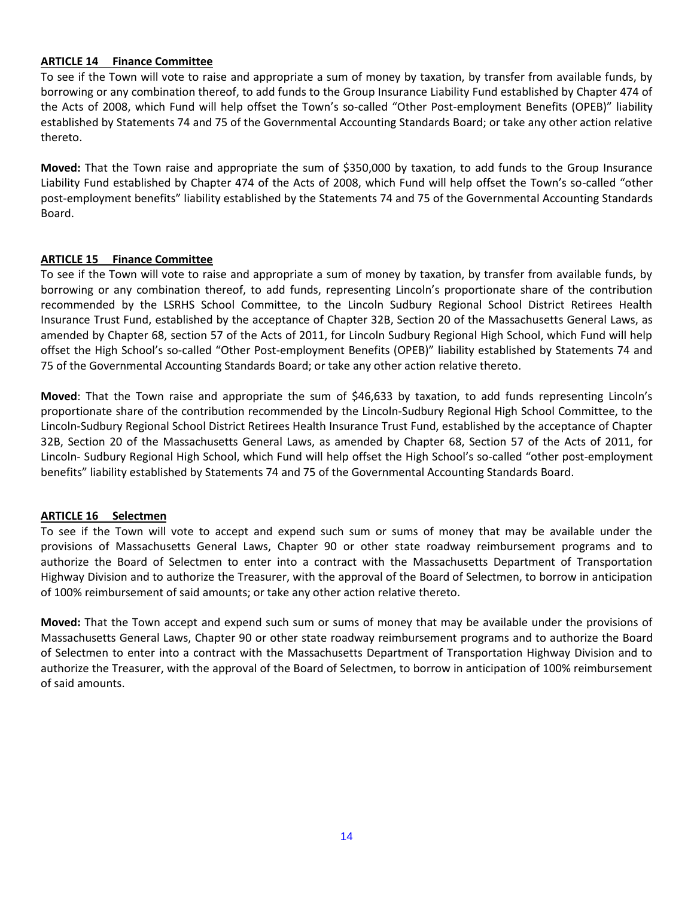## **ARTICLE 14 Finance Committee**

To see if the Town will vote to raise and appropriate a sum of money by taxation, by transfer from available funds, by borrowing or any combination thereof, to add funds to the Group Insurance Liability Fund established by Chapter 474 of the Acts of 2008, which Fund will help offset the Town's so-called "Other Post-employment Benefits (OPEB)" liability established by Statements 74 and 75 of the Governmental Accounting Standards Board; or take any other action relative thereto.

**Moved:** That the Town raise and appropriate the sum of \$350,000 by taxation, to add funds to the Group Insurance Liability Fund established by Chapter 474 of the Acts of 2008, which Fund will help offset the Town's so-called "other post-employment benefits" liability established by the Statements 74 and 75 of the Governmental Accounting Standards Board.

# **ARTICLE 15 Finance Committee**

To see if the Town will vote to raise and appropriate a sum of money by taxation, by transfer from available funds, by borrowing or any combination thereof, to add funds, representing Lincoln's proportionate share of the contribution recommended by the LSRHS School Committee, to the Lincoln Sudbury Regional School District Retirees Health Insurance Trust Fund, established by the acceptance of Chapter 32B, Section 20 of the Massachusetts General Laws, as amended by Chapter 68, section 57 of the Acts of 2011, for Lincoln Sudbury Regional High School, which Fund will help offset the High School's so-called "Other Post-employment Benefits (OPEB)" liability established by Statements 74 and 75 of the Governmental Accounting Standards Board; or take any other action relative thereto.

**Moved**: That the Town raise and appropriate the sum of \$46,633 by taxation, to add funds representing Lincoln's proportionate share of the contribution recommended by the Lincoln-Sudbury Regional High School Committee, to the Lincoln-Sudbury Regional School District Retirees Health Insurance Trust Fund, established by the acceptance of Chapter 32B, Section 20 of the Massachusetts General Laws, as amended by Chapter 68, Section 57 of the Acts of 2011, for Lincoln- Sudbury Regional High School, which Fund will help offset the High School's so-called "other post-employment benefits" liability established by Statements 74 and 75 of the Governmental Accounting Standards Board.

#### **ARTICLE 16 Selectmen**

To see if the Town will vote to accept and expend such sum or sums of money that may be available under the provisions of Massachusetts General Laws, Chapter 90 or other state roadway reimbursement programs and to authorize the Board of Selectmen to enter into a contract with the Massachusetts Department of Transportation Highway Division and to authorize the Treasurer, with the approval of the Board of Selectmen, to borrow in anticipation of 100% reimbursement of said amounts; or take any other action relative thereto.

**Moved:** That the Town accept and expend such sum or sums of money that may be available under the provisions of Massachusetts General Laws, Chapter 90 or other state roadway reimbursement programs and to authorize the Board of Selectmen to enter into a contract with the Massachusetts Department of Transportation Highway Division and to authorize the Treasurer, with the approval of the Board of Selectmen, to borrow in anticipation of 100% reimbursement of said amounts.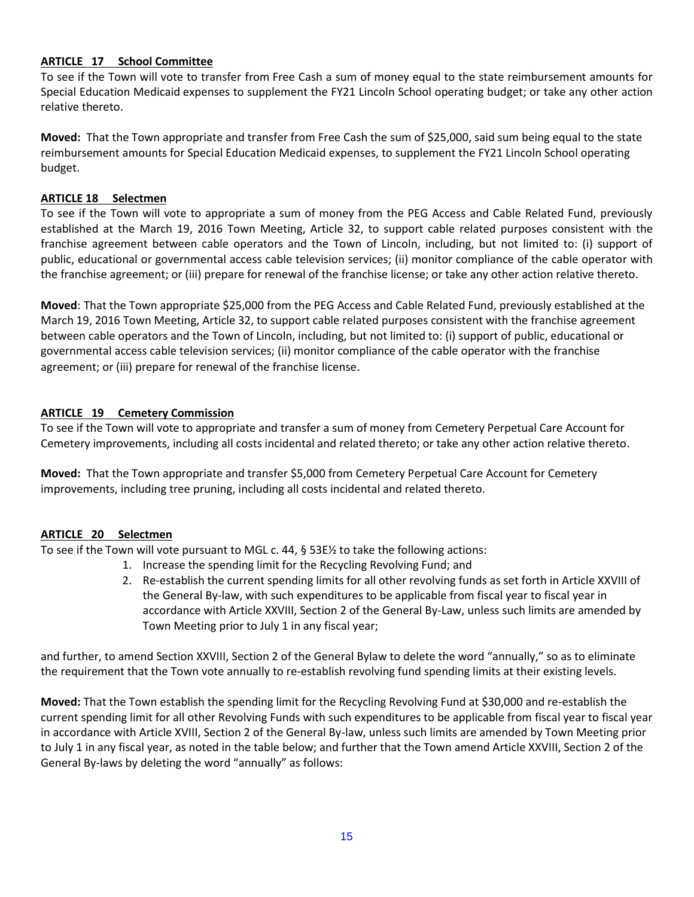# **ARTICLE 17 School Committee**

To see if the Town will vote to transfer from Free Cash a sum of money equal to the state reimbursement amounts for Special Education Medicaid expenses to supplement the FY21 Lincoln School operating budget; or take any other action relative thereto.

**Moved:** That the Town appropriate and transfer from Free Cash the sum of \$25,000, said sum being equal to the state reimbursement amounts for Special Education Medicaid expenses, to supplement the FY21 Lincoln School operating budget.

# **ARTICLE 18 Selectmen**

To see if the Town will vote to appropriate a sum of money from the PEG Access and Cable Related Fund, previously established at the March 19, 2016 Town Meeting, Article 32, to support cable related purposes consistent with the franchise agreement between cable operators and the Town of Lincoln, including, but not limited to: (i) support of public, educational or governmental access cable television services; (ii) monitor compliance of the cable operator with the franchise agreement; or (iii) prepare for renewal of the franchise license; or take any other action relative thereto.

**Moved**: That the Town appropriate \$25,000 from the PEG Access and Cable Related Fund, previously established at the March 19, 2016 Town Meeting, Article 32, to support cable related purposes consistent with the franchise agreement between cable operators and the Town of Lincoln, including, but not limited to: (i) support of public, educational or governmental access cable television services; (ii) monitor compliance of the cable operator with the franchise agreement; or (iii) prepare for renewal of the franchise license.

# **ARTICLE 19 Cemetery Commission**

To see if the Town will vote to appropriate and transfer a sum of money from Cemetery Perpetual Care Account for Cemetery improvements, including all costs incidental and related thereto; or take any other action relative thereto.

**Moved:** That the Town appropriate and transfer \$5,000 from Cemetery Perpetual Care Account for Cemetery improvements, including tree pruning, including all costs incidental and related thereto.

# **ARTICLE 20 Selectmen**

To see if the Town will vote pursuant to MGL c. 44, § 53E½ to take the following actions:

- 1. Increase the spending limit for the Recycling Revolving Fund; and
- 2. Re-establish the current spending limits for all other revolving funds as set forth in Article XXVIII of the General By-law, with such expenditures to be applicable from fiscal year to fiscal year in accordance with Article XXVIII, Section 2 of the General By-Law, unless such limits are amended by Town Meeting prior to July 1 in any fiscal year;

and further, to amend Section XXVIII, Section 2 of the General Bylaw to delete the word "annually," so as to eliminate the requirement that the Town vote annually to re-establish revolving fund spending limits at their existing levels.

**Moved:** That the Town establish the spending limit for the Recycling Revolving Fund at \$30,000 and re-establish the current spending limit for all other Revolving Funds with such expenditures to be applicable from fiscal year to fiscal year in accordance with Article XVIII, Section 2 of the General By-law, unless such limits are amended by Town Meeting prior to July 1 in any fiscal year, as noted in the table below; and further that the Town amend Article XXVIII, Section 2 of the General By-laws by deleting the word "annually" as follows: